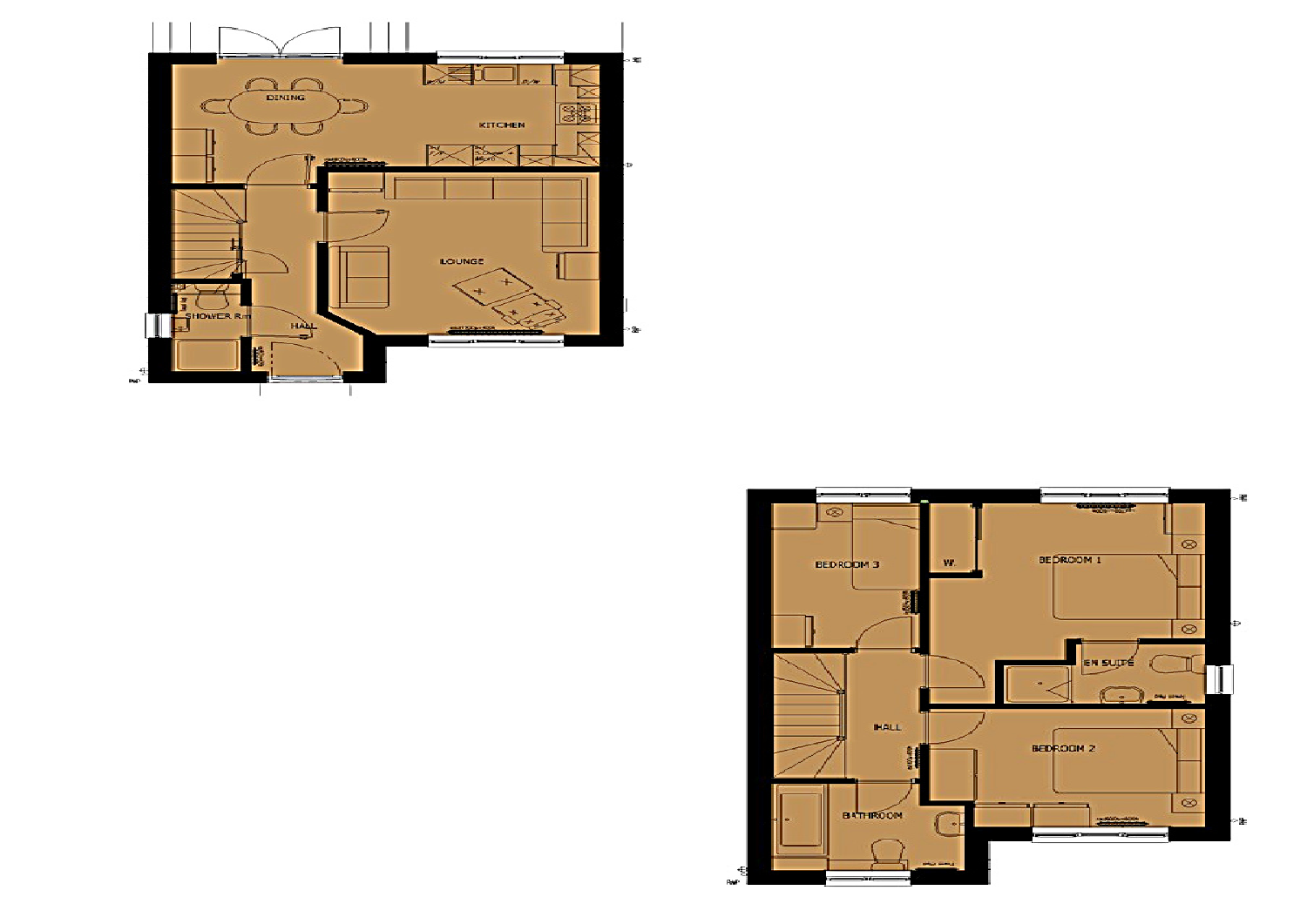

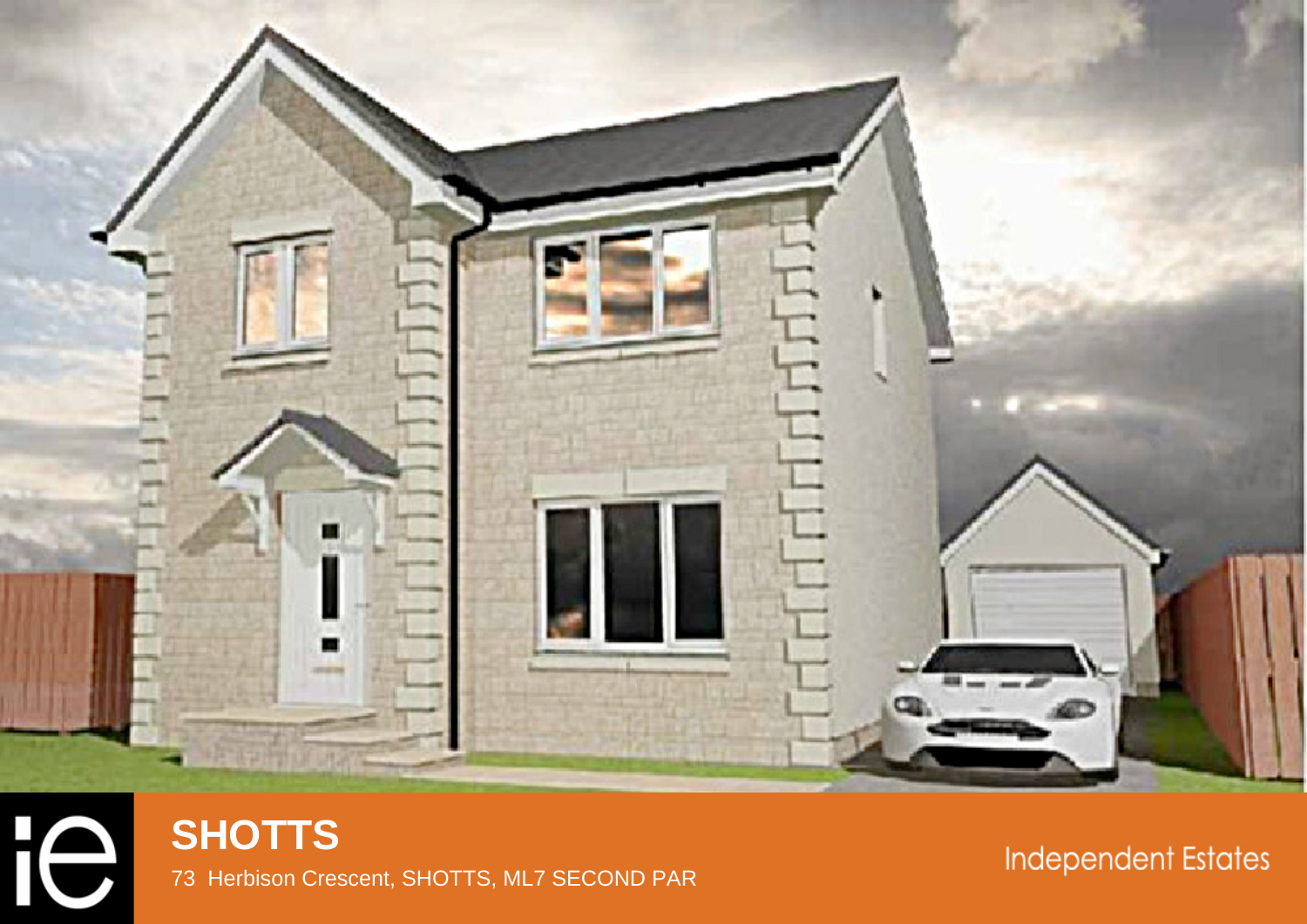



# **Independent Estates**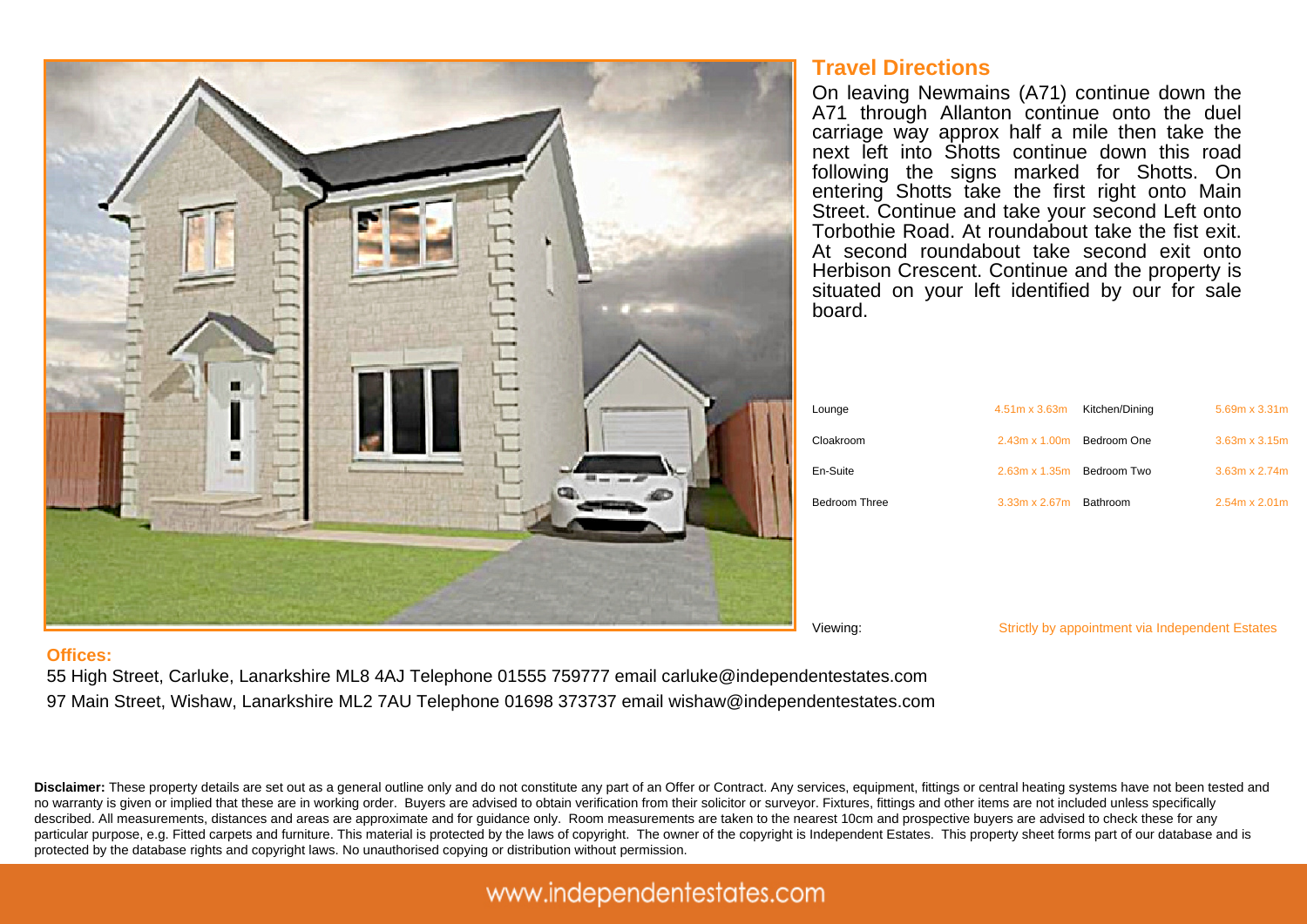## **Travel Directions**

On leaving Newmains (A71) continue down the A71 through Allanton continue onto the duel carriage way approx half a mile then take the next left into Shotts continue down this road following the signs marked for Shotts. On entering Shotts take the first right onto Main Street. Continue and take your second Left onto Torbothie Road. At roundabout take the fist exit. At second roundabout take second exit onto Herbison Crescent. Continue and the property is situated on your left identified by our for sale board.

| Lounge        | 4.51m x 3.63m                    | Kitchen/Dining | 5.69m x 3.31m        |
|---------------|----------------------------------|----------------|----------------------|
| Cloakroom     | $2.43m \times 1.00m$             | Bedroom One    | $3.63m \times 3.15m$ |
| En-Suite      | $2.63m \times 1.35m$ Bedroom Two |                | $3.63m \times 2.74m$ |
| Bedroom Three | $3.33m \times 2.67m$             | Bathroom       | $2.54m \times 2.01m$ |



#### Viewing: Strictly by appointment via Independent Estates

### **Offices:**

55 High Street, Carluke, Lanarkshire ML8 4AJ Telephone 01555 759777 email carluke@independentestates.com 97 Main Street, Wishaw, Lanarkshire ML2 7AU Telephone 01698 373737 email wishaw@independentestates.com

**Disclaimer:** These property details are set out as a general outline only and do not constitute any part of an Offer or Contract. Any services, equipment, fittings or central heating systems have not been tested and no warranty is given or implied that these are in working order. Buyers are advised to obtain verification from their solicitor or surveyor. Fixtures, fittings and other items are not included unless specifically described. All measurements, distances and areas are approximate and for guidance only. Room measurements are taken to the nearest 10cm and prospective buyers are advised to check these for any particular purpose, e.g. Fitted carpets and furniture. This material is protected by the laws of copyright. The owner of the copyright is Independent Estates. This property sheet forms part of our database and is protected by the database rights and copyright laws. No unauthorised copying or distribution without permission.

## www.independentestates.com